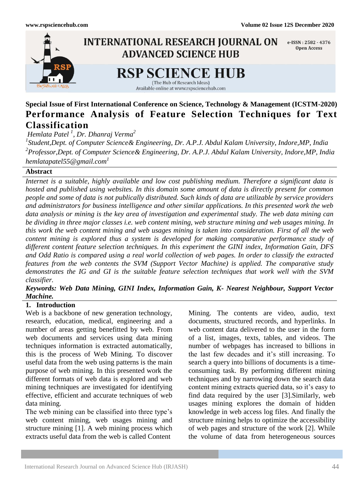

# **Special Issue of First International Conference on Science, Technology & Management (ICSTM-2020) Performance Analysis of Feature Selection Techniques for Text Classification**

*Hemlata Patel <sup>1</sup> , Dr. Dhanraj Verma<sup>2</sup>*

*1 Student,Dept. of Computer Science& Engineering, Dr. A.P.J. Abdul Kalam University, Indore,MP, India 2 Professor,Dept. of Computer Science& Engineering, Dr. A.P.J. Abdul Kalam University, Indore,MP, India hemlatapatel55@gmail.com<sup>1</sup>*

# **Abstract**

*Internet is a suitable, highly available and low cost publishing medium. Therefore a significant data is hosted and published using websites. In this domain some amount of data is directly present for common people and some of data is not publically distributed. Such kinds of data are utilizable by service providers and administrators for business intelligence and other similar applications. In this presented work the web data analysis or mining is the key area of investigation and experimental study. The web data mining can be dividing in three major classes i.e. web content mining, web structure mining and web usages mining. In this work the web content mining and web usages mining is taken into consideration. First of all the web content mining is explored thus a system is developed for making comparative performance study of different content feature selection techniques. In this experiment the GINI index, Information Gain, DFS and Odd Ratio is compared using a real world collection of web pages. In order to classify the extracted features from the web contents the SVM (Support Vector Machine) is applied. The comparative study demonstrates the IG and GI is the suitable feature selection techniques that work well with the SVM classifier.*

# *Keywords: Web Data Mining, GINI Index, Information Gain, K- Nearest Neighbour, Support Vector Machine.*

# **1. Introduction**

Web is a backbone of new generation technology, research, education, medical, engineering and a number of areas getting benefitted by web. From web documents and services using data mining techniques information is extracted automatically, this is the process of Web Mining. To discover useful data from the web using patterns is the main purpose of web mining. In this presented work the different formats of web data is explored and web mining techniques are investigated for identifying effective, efficient and accurate techniques of web data mining.

The web mining can be classified into three type's web content mining, web usages mining and structure mining [1]. A web mining process which extracts useful data from the web is called Content

Mining. The contents are video, audio, text documents, structured records, and hyperlinks. In web content data delivered to the user in the form of a list, images, texts, tables, and videos. The number of webpages has increased to billions in the last few decades and it's still increasing. To search a query into billions of documents is a timeconsuming task. By performing different mining techniques and by narrowing down the search data content mining extracts queried data, so it's easy to find data required by the user [3].Similarly, web usages mining explores the domain of hidden knowledge in web access log files. And finally the structure mining helps to optimize the accessibility of web pages and structure of the work [2]. While the volume of data from heterogeneous sources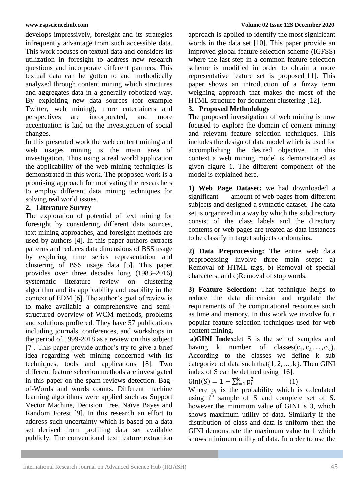develops impressively, foresight and its strategies infrequently advantage from such accessible data. This work focuses on textual data and considers its utilization in foresight to address new research questions and incorporate different partners. This textual data can be gotten to and methodically analyzed through content mining which structures and aggregates data in a generally robotized way. By exploiting new data sources (for example Twitter, web mining), more entertainers and perspectives are incorporated, and more accentuation is laid on the investigation of social changes.

In this presented work the web content mining and web usages mining is the main area of investigation. Thus using a real world application the applicability of the web mining techniques is demonstrated in this work. The proposed work is a promising approach for motivating the researchers to employ different data mining techniques for solving real world issues.

# **2. Literature Survey**

The exploration of potential of text mining for foresight by considering different data sources, text mining approaches, and foresight methods are used by authors [4]. In this paper authors extracts patterns and reduces data dimensions of BSS usage by exploring time series representation and clustering of BSS usage data [5]. This paper provides over three decades long (1983–2016) systematic literature review on clustering algorithm and its applicability and usability in the context of EDM [6]. The author's goal of review is to make available a comprehensive and semistructured overview of WCM methods, problems and solutions proffered. They have 57 publications including journals, conferences, and workshops in the period of 1999-2018 as a review on this subject [7]. This paper provide author's try to give a brief idea regarding web mining concerned with its techniques, tools and applications [8]. Two different feature selection methods are investigated in this paper on the spam reviews detection. Bagof-Words and words counts. Different machine learning algorithms were applied such as Support Vector Machine, Decision Tree, Naïve Bayes and Random Forest [9]. In this research an effort to address such uncertainty which is based on a data set derived from profiling data set available publicly. The conventional text feature extraction

# **www.rspsciencehub.com Volume 02 Issue 12S December 2020**

approach is applied to identify the most significant words in the data set [10]. This paper provide an improved global feature selection scheme (IGFSS) where the last step in a common feature selection scheme is modified in order to obtain a more representative feature set is proposed[11]. This paper shows an introduction of a fuzzy term weighing approach that makes the most of the HTML structure for document clustering [12].

# **3. Proposed Methodology**

The proposed investigation of web mining is now focused to explore the domain of content mining and relevant feature selection techniques. This includes the design of data model which is used for accomplishing the desired objective. In this context a web mining model is demonstrated as given figure 1. The different component of the model is explained here.

**1) Web Page Dataset:** we had downloaded a significant amount of web pages from different subjects and designed a syntactic dataset. The data set is organized in a way by which the subdirectory consist of the class labels and the directory contents or web pages are treated as data instances to be classify in target subjects or domains.

**2) Data Preprocessing:** The entire web data preprocessing involve three main steps: a) Removal of HTML tags, b) Removal of special characters, and c)Removal of stop words.

**3) Feature Selection:** That technique helps to reduce the data dimension and regulate the requirements of the computational resources such as time and memory. In this work we involve four popular feature selection techniques used for web content mining.

**a)GINI Index:**let S is the set of samples and having k number of classes( $c_1, c_2, ..., c_k$ ). According to the classes we define k sub categorize of data such that  $\{1, 2, ..., k\}$ . Then GINI index of S can be defined using [16].

Gini(S) =  $1 - \sum_{i=1}^{k} p_i^2$ (1)

Where  $p_i$  is the probability which is calculated using  $i<sup>th</sup>$  sample of S and complete set of S. however the minimum value of GINI is 0, which shows maximum utility of data. Similarly if the distribution of class and data is uniform then the GINI demonstrate the maximum value to 1 which shows minimum utility of data. In order to use the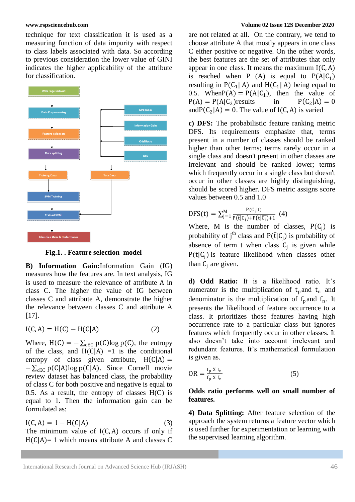technique for text classification it is used as a measuring function of data impurity with respect to class labels associated with data. So according to previous consideration the lower value of GINI indicates the higher applicability of the attribute for classification.



**Fig.1. . Feature selection model**

**B) Information Gain:**Information Gain (IG) measures how the features are. In text analysis, IG is used to measure the relevance of attribute A in class C. The higher the value of IG between classes C and attribute A, demonstrate the higher the relevance between classes C and attribute A [17].

$$
I(C, A) = H(C) - H(C|A)
$$
 (2)

Where,  $H(C) = -\sum_{c \in C} p(C) \log p(C)$ , the entropy of the class, and  $H(C|A) = 1$  is the conditional entropy of class given attribute,  $H(C|A) =$  $-\sum_{c\in C} p(C|A) \log p(C|A)$ . Since Cornell movie review dataset has balanced class, the probability of class C for both positive and negative is equal to 0.5. As a result, the entropy of classes  $H(C)$  is equal to 1. Then the information gain can be formulated as:

$$
I(C, A) = 1 - H(C|A)
$$
\n(3)

The minimum value of  $I(C, A)$  occurs if only if  $H(C|A) = 1$  which means attribute A and classes C

### **www.rspsciencehub.com Volume 02 Issue 12S December 2020**

are not related at all. On the contrary, we tend to choose attribute A that mostly appears in one class C either positive or negative. On the other words, the best features are the set of attributes that only appear in one class. It means the maximum  $I(C, A)$ is reached when P  $(A)$  is equal to  $P(A|C_1)$ resulting in  $P(C_1 | A)$  and  $H(C_1 | A)$  being equal to 0.5. When  $P(A) = P(A|C_1)$ , then the value of  $P(A) = P(A|C_2)$  results in  $P(C_2|A) = 0$  $P(A) = P(A|C_2)$ results  $P(C_2|A) = 0$ and  $P(C_2|A) = 0$ . The value of I(C, A) is varied

**c) DFS:** The probabilistic feature ranking metric DFS. Its requirements emphasize that, terms present in a number of classes should be ranked higher than other terms; terms rarely occur in a single class and doesn't present in other classes are irrelevant and should be ranked lower; terms which frequently occur in a single class but doesn't occur in other classes are highly distinguishing, should be scored higher. DFS metric assigns score values between 0.5 and 1.0

$$
DFS(t) = \sum_{j=1}^{M} \frac{P(C_j|t)}{P(\bar{t}|C_j) + P(t|\bar{C_j}) + 1} \tag{4}
$$

Where, M is the number of classes,  $P(C_i)$  is probability of j<sup>th</sup> class and  $P(\bar{t} | C_j)$  is probability of absence of term t when class  $C_j$  is given while  $P(t|\overline{C_j})$  is feature likelihood when classes other than  $C_i$  are given.

**d) Odd Ratio:** It is a likelihood ratio. It's numerator is the multiplication of  $t<sub>p</sub>$  and  $t<sub>n</sub>$  and denominator is the multiplication of  $f_p$  and  $f_n$ . It presents the likelihood of feature occurrence to a class. It prioritizes those features having high occurrence rate to a particular class but ignores features which frequently occur in other classes. It also doesn't take into account irrelevant and redundant features. It's mathematical formulation is given as.

$$
OR = \frac{t_p X t_n}{f_p X f_n}
$$
 (5)

# **Odds ratio performs well on small number of features.**

**4) Data Splitting:** After feature selection of the approach the system returns a feature vector which is used further for experimentation or learning with the supervised learning algorithm.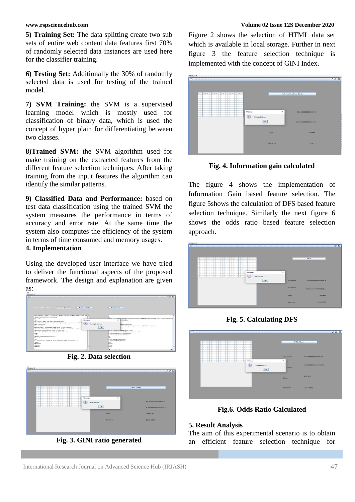**5) Training Set:** The data splitting create two sub sets of entire web content data features first 70% of randomly selected data instances are used here for the classifier training.

**6) Testing Set:** Additionally the 30% of randomly selected data is used for testing of the trained model.

**7) SVM Training:** the SVM is a supervised learning model which is mostly used for classification of binary data, which is used the concept of hyper plain for differentiating between two classes.

**8)Trained SVM:** the SVM algorithm used for make training on the extracted features from the different feature selection techniques. After taking training from the input features the algorithm can identify the similar patterns.

**9) Classified Data and Performance:** based on test data classification using the trained SVM the system measures the performance in terms of accuracy and error rate. At the same time the system also computes the efficiency of the system in terms of time consumed and memory usages.

# **4. Implementation**

Using the developed user interface we have tried to deliver the functional aspects of the proposed framework. The design and explanation are given as:



**Fig. 2. Data selection**



**Fig. 3. GINI ratio generated**

### **www.rspsciencehub.com Volume 02 Issue 12S December 2020**

Figure 2 shows the selection of HTML data set which is available in local storage. Further in next figure 3 the feature selection technique is implemented with the concept of GINI Index.



**Fig. 4. Information gain calculated**

The figure 4 shows the implementation of Information Gain based feature selection. The figure 5shows the calculation of DFS based feature selection technique. Similarly the next figure 6 shows the odds ratio based feature selection approach.



**Fig. 5. Calculating DFS**



**Fig.6. Odds Ratio Calculated**

# **5. Result Analysis**

The aim of this experimental scenario is to obtain an efficient feature selection technique for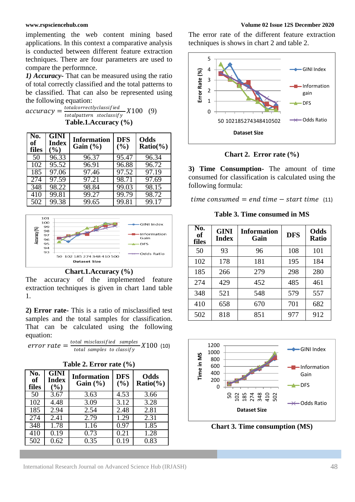implementing the web content mining based applications. In this context a comparative analysis is conducted between different feature extraction techniques. There are four parameters are used to compare the performnce.

*1) Accuracy-* That can be measured using the ratio of total correctly classified and the total patterns to be classified. That can also be represented using the following equation:

 $accuracy = \frac{totalcorrectly classified}{totalpattern\_stcales}$ totalpattern stoclassify  $- X100 (9)$ **Table.1.Accuracy (%)**

| No.<br>of<br>files | <b>GINI</b><br><b>Index</b><br>(%) | <b>Information</b><br>Gain $(\% )$ | <b>DFS</b><br>$($ %) | Odds<br>$Ratio(\% )$ |
|--------------------|------------------------------------|------------------------------------|----------------------|----------------------|
| 50                 | 96.33                              | $96.\overline{37}$                 | 95.47                | 96.34                |
| 102                | 95.52                              | $96.\overline{91}$                 | 96.88                | $96.\overline{72}$   |
| 185                | 97.06                              | 97.46                              | 97.52                | 97.19                |
| 274                | 97.59                              | 97.21                              | 98.71                | 97.69                |
| 348                | 98.22                              | 98.84                              | 99.03                | 98.15                |
| 410                | 99.81                              | 99.27                              | 99.79                | 98.72                |
| 502                | 99.38                              | 99.65                              | 99.81                | 99.17                |



### **Chart.1.Accuracy (%)**

The accuracy of the implemented feature extraction techniques is given in chart 1and table 1.

**2) Error rate-** This is a ratio of misclassified test samples and the total samples for classification. That can be calculated using the following equation:

 $error\ rate = \frac{total\ misclassified\ samples}{total\ samples\ to\ density}$ total samples to classify  $X100$  (10)

| <b>Table 2. Error rate (%)</b> |  |  |  |
|--------------------------------|--|--|--|
|--------------------------------|--|--|--|

| No.<br>of<br>files | <b>GINI</b><br>Index<br>(%) | <b>Information</b><br>Gain $(\% )$ | <b>DFS</b><br>(%) | Odds<br>$Ratio(\% )$ |
|--------------------|-----------------------------|------------------------------------|-------------------|----------------------|
| 50                 | 3.67                        | 3.63                               | 4.53              | 3.66                 |
| 102                | 4.48                        | 3.09                               | 3.12              | 3.28                 |
| 185                | 2.94                        | 2.54                               | 2.48              | 2.81                 |
| 274                | 2.41                        | 2.79                               | 1.29              | 2.31                 |
| 348                | 1.78                        | 1.16                               | 0.97              | 1.85                 |
| 410                | 0.19                        | 0.73                               | 0.21              | 1.28                 |
| 502                | 0.62                        | 0.35                               | በ 19              | $\overline{0.83}$    |

The error rate of the different feature extraction techniques is shows in chart 2 and table 2.



**Chart 2. Error rate (%)**

**3) Time Consumption-** The amount of time consumed for classification is calculated using the following formula:

 $time\ consumed = end\ time - start\ time$  (11)

**Table 3. Time consumed in MS**

| No.<br><b>of</b><br>files | <b>GINI</b><br><b>Index</b> | <b>Information</b><br>Gain | <b>DFS</b> | Odds<br><b>Ratio</b> |
|---------------------------|-----------------------------|----------------------------|------------|----------------------|
| 50                        | 93                          | 96                         | 108        | 101                  |
| 102                       | 178                         | 181                        | 195        | 184                  |
| 185                       | 266                         | 279                        | 298        | 280                  |
| 274                       | 429                         | 452                        | 485        | 461                  |
| 348                       | 521                         | 548                        | 579        | 557                  |
| 410                       | 658                         | 670                        | 701        | 682                  |
| 502                       | 818                         | 851                        | 977        | 912                  |



**Chart 3. Time consumption (MS)**

International Research Journal on Advanced Science Hub (IRJASH) 48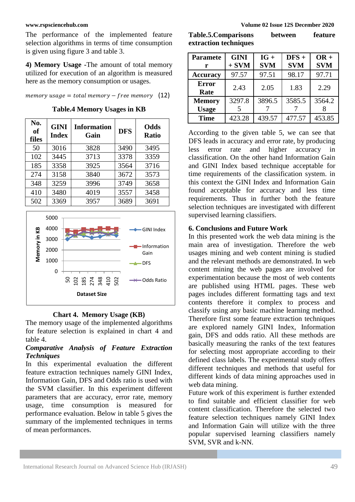The performance of the implemented feature selection algorithms in terms of time consumption is given using figure 3 and table 3.

**4) Memory Usage -**The amount of total memory utilized for execution of an algorithm is measured here as the memory consumption or usages.

memory usage = total memory  $-$  free memory (12)

**Table.4 Memory Usages in KB**

| No.<br><b>of</b><br>files | <b>GINI</b><br><b>Index</b> | <b>Information</b><br>Gain | <b>DFS</b> | <b>Odds</b><br><b>Ratio</b> |
|---------------------------|-----------------------------|----------------------------|------------|-----------------------------|
| 50                        | 3016                        | 3828                       | 3490       | 3495                        |
| 102                       | 3445                        | 3713                       | 3378       | 3359                        |
| 185                       | 3358                        | 3925                       | 3564       | 3716                        |
| 274                       | 3158                        | 3840                       | 3672       | 3573                        |
| 348                       | 3259                        | 3996                       | 3749       | 3658                        |
| 410                       | 3480                        | 4019                       | 3557       | 3458                        |
| 502                       | 3369                        | 3957                       | 3689       | 3691                        |



### **Chart 4. Memory Usage (KB)**

The memory usage of the implemented algorithms for feature selection is explained in chart 4 and table 4.

# *Comparative Analysis of Feature Extraction Techniques*

In this experimental evaluation the different feature extraction techniques namely GINI Index, Information Gain, DFS and Odds ratio is used with the SVM classifier. In this experiment different parameters that are accuracy, error rate, memory usage, time consumption is measured for performance evaluation. Below in table 5 gives the summary of the implemented techniques in terms of mean performances.

| <b>Table.5.Comparisons</b> | between | feature |
|----------------------------|---------|---------|
| extraction techniques      |         |         |

| <b>Paramete</b>      | <b>GINI</b> | $IG +$     | $DFS +$    | $OR +$     |
|----------------------|-------------|------------|------------|------------|
| r                    | $+$ SVM     | <b>SVM</b> | <b>SVM</b> | <b>SVM</b> |
| <b>Accuracy</b>      | 97.57       | 97.51      | 98.17      | 97.71      |
| <b>Error</b><br>Rate | 2.43        | 2.05       | 1.83       | 2.29       |
| <b>Memory</b>        | 3297.8      | 3896.5     | 3585.5     | 3564.2     |
| <b>Usage</b>         |             |            |            |            |
| <b>Time</b>          | 423.28      | 439.57     | 477.57     | 453.85     |

According to the given table 5, we can see that DFS leads in accuracy and error rate, by producing less error rate and higher accuracy in classification. On the other hand Information Gain and GINI Index based technique acceptable for time requirements of the classification system. in this context the GINI Index and Information Gain found acceptable for accuracy and less time requirements. Thus in further both the feature selection techniques are investigated with different supervised learning classifiers.

# **6. Conclusions and Future Work**

In this presented work the web data mining is the main area of investigation. Therefore the web usages mining and web content mining is studied and the relevant methods are demonstrated. In web content mining the web pages are involved for experimentation because the most of web contents are published using HTML pages. These web pages includes different formatting tags and text contents therefore it complex to process and classify using any basic machine learning method. Therefore first some feature extraction techniques are explored namely GINI Index, Information gain, DFS and odds ratio. All these methods are basically measuring the ranks of the text features for selecting most appropriate according to their defined class labels. The experimental study offers different techniques and methods that useful for different kinds of data mining approaches used in web data mining.

Future work of this experiment is further extended to find suitable and efficient classifier for web content classification. Therefore the selected two feature selection techniques namely GINI Index and Information Gain will utilize with the three popular supervised learning classifiers namely SVM, SVR and k-NN.